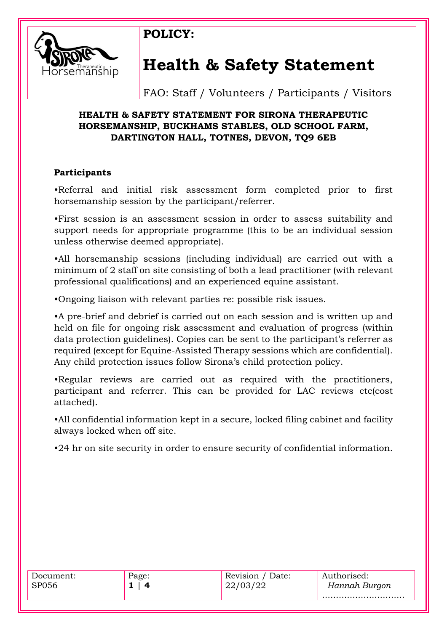

# **Health & Safety Statement**

**POLICY:** 

FAO: Staff / Volunteers / Participants / Visitors

## **HEALTH & SAFETY STATEMENT FOR SIRONA THERAPEUTIC HORSEMANSHIP, BUCKHAMS STABLES, OLD SCHOOL FARM, DARTINGTON HALL, TOTNES, DEVON, TQ9 6EB**

### **Participants**

•Referral and initial risk assessment form completed prior to first horsemanship session by the participant/referrer.

•First session is an assessment session in order to assess suitability and support needs for appropriate programme (this to be an individual session unless otherwise deemed appropriate).

•All horsemanship sessions (including individual) are carried out with a minimum of 2 staff on site consisting of both a lead practitioner (with relevant professional qualifications) and an experienced equine assistant.

•Ongoing liaison with relevant parties re: possible risk issues.

•A pre-brief and debrief is carried out on each session and is written up and held on file for ongoing risk assessment and evaluation of progress (within data protection guidelines). Copies can be sent to the participant's referrer as required (except for Equine-Assisted Therapy sessions which are confidential). Any child protection issues follow Sirona's child protection policy.

•Regular reviews are carried out as required with the practitioners, participant and referrer. This can be provided for LAC reviews etc(cost attached).

•All confidential information kept in a secure, locked filing cabinet and facility always locked when off site.

•24 hr on site security in order to ensure security of confidential information.

| Document:<br>SP056 | Page:<br>$\overline{\mathbf{a}}$ | Date:<br>Rev1S10n /<br>22/03/22 | Authorised:<br>Hannah Burgon |
|--------------------|----------------------------------|---------------------------------|------------------------------|
|                    |                                  |                                 |                              |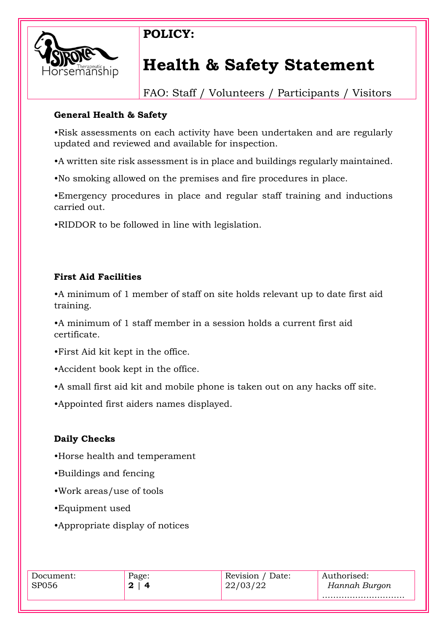

## **POLICY:**

## **Health & Safety Statement**

FAO: Staff / Volunteers / Participants / Visitors

## **General Health & Safety**

•Risk assessments on each activity have been undertaken and are regularly updated and reviewed and available for inspection.

•A written site risk assessment is in place and buildings regularly maintained.

•No smoking allowed on the premises and fire procedures in place.

•Emergency procedures in place and regular staff training and inductions carried out.

•RIDDOR to be followed in line with legislation.

## **First Aid Facilities**

•A minimum of 1 member of staff on site holds relevant up to date first aid training.

•A minimum of 1 staff member in a session holds a current first aid certificate.

•First Aid kit kept in the office.

•Accident book kept in the office.

•A small first aid kit and mobile phone is taken out on any hacks off site.

•Appointed first aiders names displayed.

## **Daily Checks**

•Horse health and temperament

- •Buildings and fencing
- •Work areas/use of tools
- •Equipment used
- •Appropriate display of notices

| Document:    | Page: | Revision / Date: | Authorised:   |
|--------------|-------|------------------|---------------|
| <b>SP056</b> | 4     | 22/03/22         | Hannah Burgon |
|              |       |                  |               |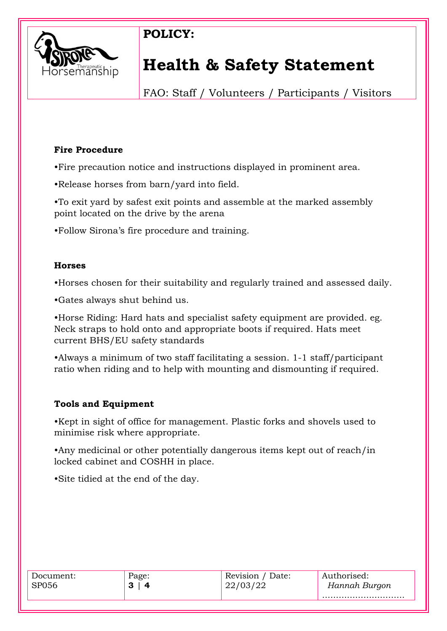

## **POLICY:**

## **Health & Safety Statement**

FAO: Staff / Volunteers / Participants / Visitors

## **Fire Procedure**

•Fire precaution notice and instructions displayed in prominent area.

•Release horses from barn/yard into field.

•To exit yard by safest exit points and assemble at the marked assembly point located on the drive by the arena

•Follow Sirona's fire procedure and training.

## **Horses**

•Horses chosen for their suitability and regularly trained and assessed daily.

•Gates always shut behind us.

•Horse Riding: Hard hats and specialist safety equipment are provided. eg. Neck straps to hold onto and appropriate boots if required. Hats meet current BHS/EU safety standards

•Always a minimum of two staff facilitating a session. 1-1 staff/participant ratio when riding and to help with mounting and dismounting if required.

### **Tools and Equipment**

•Kept in sight of office for management. Plastic forks and shovels used to minimise risk where appropriate.

•Any medicinal or other potentially dangerous items kept out of reach/in locked cabinet and COSHH in place.

•Site tidied at the end of the day.

| Document:    | Page:       | Revision / Date: | Authorised:   |
|--------------|-------------|------------------|---------------|
| <b>SP056</b> | っ<br>Δ<br>Q |                  | Hannah Burgon |
|              |             |                  |               |